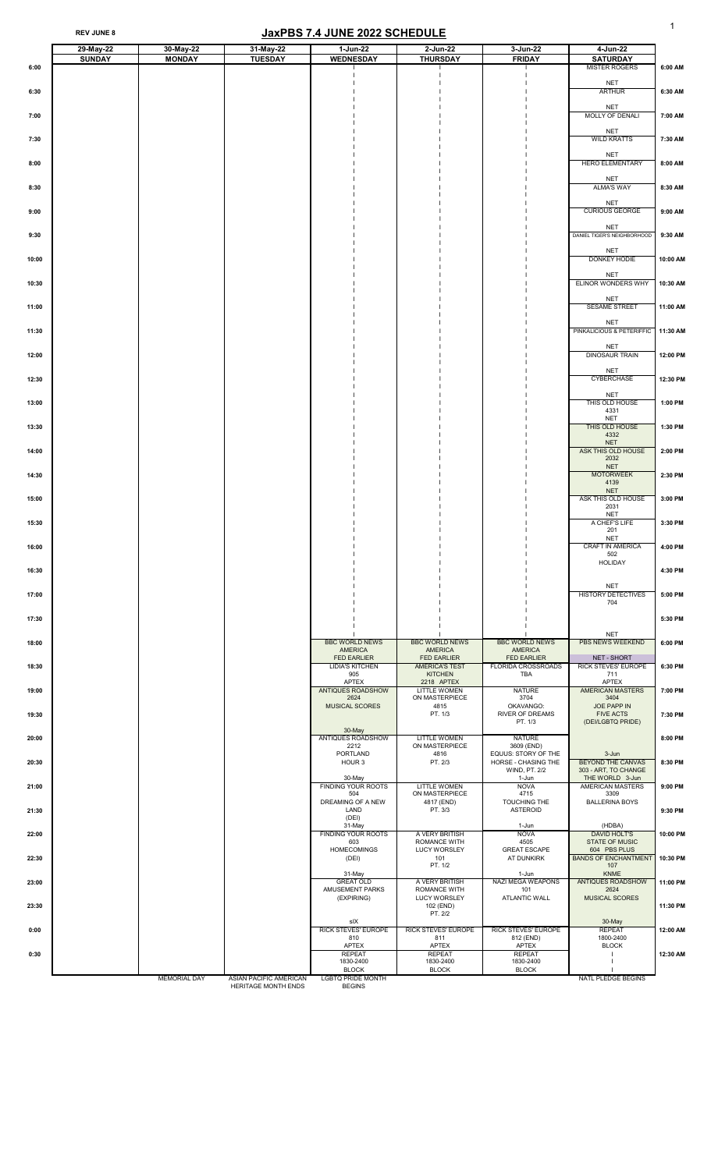#### REV JUNE 8 **JaxPBS 7.4 JUNE 2022 SCHEDULE**

|       | 29-May-22     | 30-May-22           | 31-May-22                                            | 1-Jun-22                                                      | 2-Jun-22                                                      | 3-Jun-22                                                      | 4-Jun-22                                                            |          |
|-------|---------------|---------------------|------------------------------------------------------|---------------------------------------------------------------|---------------------------------------------------------------|---------------------------------------------------------------|---------------------------------------------------------------------|----------|
| 6:00  | <b>SUNDAY</b> | <b>MONDAY</b>       | <b>TUESDAY</b>                                       | <b>WEDNESDAY</b>                                              | <b>THURSDAY</b>                                               | <b>FRIDAY</b>                                                 | <b>SATURDAY</b><br><b>MISTER ROGERS</b>                             | 6:00 AM  |
| 6:30  |               |                     |                                                      |                                                               |                                                               |                                                               | <b>NET</b><br><b>ARTHUR</b>                                         | 6:30 AM  |
| 7:00  |               |                     |                                                      |                                                               |                                                               |                                                               | <b>NET</b><br>MOLLY OF DENALI                                       | 7:00 AM  |
| 7:30  |               |                     |                                                      |                                                               |                                                               |                                                               | <b>NET</b><br><b>WILD KRATTS</b>                                    | 7:30 AM  |
| 8:00  |               |                     |                                                      |                                                               |                                                               |                                                               | <b>NET</b><br>HERO ELEMENTARY                                       | 8:00 AM  |
| 8:30  |               |                     |                                                      |                                                               |                                                               |                                                               | <b>NET</b><br><b>ALMA'S WAY</b>                                     | 8:30 AM  |
| 9:00  |               |                     |                                                      |                                                               |                                                               |                                                               | <b>NET</b><br><b>CURIOUS GEORGE</b>                                 | 9:00 AM  |
| 9:30  |               |                     |                                                      |                                                               |                                                               |                                                               | <b>NET</b><br>DANIEL TIGER'S NEIGHBORHOOD                           | 9:30 AM  |
| 10:00 |               |                     |                                                      |                                                               |                                                               |                                                               | <b>NET</b><br>DONKEY HODIE                                          | 10:00 AM |
| 10:30 |               |                     |                                                      |                                                               |                                                               |                                                               | <b>NET</b><br>ELINOR WONDERS WHY                                    | 10:30 AM |
| 11:00 |               |                     |                                                      |                                                               |                                                               |                                                               | <b>NET</b><br><b>SESAME STREET</b>                                  | 11:00 AM |
| 11:30 |               |                     |                                                      |                                                               |                                                               |                                                               | <b>NET</b><br>PINKALICIOUS & PETERIFFIC                             | 11:30 AM |
| 12:00 |               |                     |                                                      |                                                               |                                                               |                                                               | <b>NET</b><br><b>DINOSAUR TRAIN</b>                                 | 12:00 PM |
| 12:30 |               |                     |                                                      |                                                               |                                                               |                                                               | <b>NET</b><br><b>CYBERCHASE</b>                                     | 12:30 PM |
| 13:00 |               |                     |                                                      |                                                               |                                                               |                                                               | <b>NET</b><br>THIS OLD HOUSE<br>4331<br><b>NET</b>                  | 1:00 PM  |
| 13:30 |               |                     |                                                      |                                                               |                                                               |                                                               | THIS OLD HOUSE<br>4332<br><b>NET</b>                                | 1:30 PM  |
| 14:00 |               |                     |                                                      |                                                               |                                                               |                                                               | <b>ASK THIS OLD HOUSE</b><br>2032<br><b>NET</b>                     | 2:00 PM  |
| 14:30 |               |                     |                                                      |                                                               |                                                               |                                                               | <b>MOTORWEEK</b><br>4139<br><b>NET</b>                              | 2:30 PM  |
| 15:00 |               |                     |                                                      |                                                               |                                                               |                                                               | ASK THIS OLD HOUSE<br>2031<br><b>NET</b>                            | 3:00 PM  |
| 15:30 |               |                     |                                                      |                                                               |                                                               |                                                               | A CHEF'S LIFE<br>201<br><b>NET</b>                                  | 3:30 PM  |
| 16:00 |               |                     |                                                      |                                                               |                                                               |                                                               | <b>CRAFT IN AMERICA</b><br>502<br><b>HOLIDAY</b>                    | 4:00 PM  |
| 16:30 |               |                     |                                                      |                                                               |                                                               |                                                               | <b>NET</b>                                                          | 4:30 PM  |
| 17:00 |               |                     |                                                      |                                                               |                                                               |                                                               | <b>HISTORY DETECTIVES</b><br>704                                    | 5:00 PM  |
| 17:30 |               |                     |                                                      |                                                               |                                                               |                                                               | <b>NET</b>                                                          | 5:30 PM  |
| 18:00 |               |                     |                                                      | <b>BBC WORLD NEWS</b><br><b>AMERICA</b><br><b>FED EARLIER</b> | <b>BBC WORLD NEWS</b><br><b>AMERICA</b><br><b>FED EARLIER</b> | <b>BBC WORLD NEWS</b><br><b>AMERICA</b><br><b>FED EARLIER</b> | <b>PBS NEWS WEEKEND</b><br>NET - SHORT                              | 6:00 PM  |
| 18:30 |               |                     |                                                      | <b>LIDIA'S KITCHEN</b><br>905<br><b>APTEX</b>                 | <b>AMERICA'S TEST</b><br><b>KITCHEN</b><br>2218 APTEX         | <b>FLORIDA CROSSROADS</b><br><b>TBA</b>                       | <b>RICK STEVES' EUROPE</b><br>711<br><b>APTEX</b>                   | 6:30 PM  |
| 19:00 |               |                     |                                                      | <b>ANTIQUES ROADSHOW</b><br>2624<br><b>MUSICAL SCORES</b>     | <b>LITTLE WOMEN</b><br>ON MASTERPIECE<br>4815                 | <b>NATURE</b><br>3704<br>OKAVANGO:                            | <b>AMERICAN MASTERS</b><br>3404<br>JOE PAPP IN                      | 7:00 PM  |
| 19:30 |               |                     |                                                      | 30-May                                                        | PT. 1/3                                                       | <b>RIVER OF DREAMS</b><br>PT. 1/3                             | <b>FIVE ACTS</b><br>(DEI/LGBTQ PRIDE)                               | 7:30 PM  |
| 20:00 |               |                     |                                                      | <b>ANTIQUES ROADSHOW</b><br>2212<br><b>PORTLAND</b>           | <b>LITTLE WOMEN</b><br>ON MASTERPIECE<br>4816                 | <b>NATURE</b><br>3609 (END)<br>EQUUS: STORY OF THE            | $3 - Jun$                                                           | 8:00 PM  |
| 20:30 |               |                     |                                                      | HOUR 3<br>30-May                                              | PT. 2/3                                                       | HORSE - CHASING THE<br>WIND, PT. 2/2<br>1-Jun                 | <b>BEYOND THE CANVAS</b><br>303 - ART, TO CHANGE<br>THE WORLD 3-Jun | 8:30 PM  |
| 21:00 |               |                     |                                                      | <b>FINDING YOUR ROOTS</b><br>504<br>DREAMING OF A NEW         | <b>LITTLE WOMEN</b><br>ON MASTERPIECE<br>4817 (END)           | <b>NOVA</b><br>4715<br>TOUCHING THE                           | <b>AMERICAN MASTERS</b><br>3309<br><b>BALLERINA BOYS</b>            | 9:00 PM  |
| 21:30 |               |                     |                                                      | <b>LAND</b><br>(DEI)<br>31-May                                | PT. 3/3                                                       | <b>ASTEROID</b><br>1-Jun                                      | (HDBA)                                                              | 9:30 PM  |
| 22:00 |               |                     |                                                      | <b>FINDING YOUR ROOTS</b><br>603<br><b>HOMECOMINGS</b>        | A VERY BRITISH<br><b>ROMANCE WITH</b><br><b>LUCY WORSLEY</b>  | <b>NOVA</b><br>4505<br><b>GREAT ESCAPE</b>                    | <b>DAVID HOLT'S</b><br><b>STATE OF MUSIC</b><br>604 PBS PLUS        | 10:00 PM |
| 22:30 |               |                     |                                                      | (DEI)<br>31-May                                               | 101<br>PT. 1/2                                                | AT DUNKIRK<br>1-Jun                                           | <b>BANDS OF ENCHANTMENT</b><br>107<br><b>KNME</b>                   | 10:30 PM |
| 23:00 |               |                     |                                                      | <b>GREAT OLD</b><br>AMUSEMENT PARKS<br>(EXPIRING)             | A VERY BRITISH<br><b>ROMANCE WITH</b><br><b>LUCY WORSLEY</b>  | <b>NAZI MEGA WEAPONS</b><br>101<br><b>ATLANTIC WALL</b>       | <b>ANTIQUES ROADSHOW</b><br>2624<br><b>MUSICAL SCORES</b>           | 11:00 PM |
| 23:30 |               |                     |                                                      | sIX                                                           | 102 (END)<br>PT. 2/2                                          |                                                               | 30-May<br><b>REPEAT</b>                                             | 11:30 PM |
| 0:00  |               |                     |                                                      | <b>RICK STEVES' EUROPE</b><br>810<br><b>APTEX</b>             | <b>RICK STEVES' EUROPE</b><br>811<br><b>APTEX</b>             | <b>RICK STEVES' EUROPE</b><br>812 (END)<br><b>APTEX</b>       | 1800-2400<br><b>BLOCK</b>                                           | 12:00 AM |
| 0:30  |               |                     |                                                      | <b>REPEAT</b><br>1830-2400<br><b>BLOCK</b>                    | <b>REPEAT</b><br>1830-2400<br><b>BLOCK</b>                    | <b>REPEAT</b><br>1830-2400<br><b>BLOCK</b>                    |                                                                     | 12:30 AM |
|       |               | <b>MEMORIAL DAY</b> | <b>ASIAN PACIFIC AMERICAN</b><br>HERITAGE MONTH ENDS | <b>LGBTQ PRIDE MONTH</b><br><b>BEGINS</b>                     |                                                               |                                                               | <b>NATL PLEDGE BEGINS</b>                                           |          |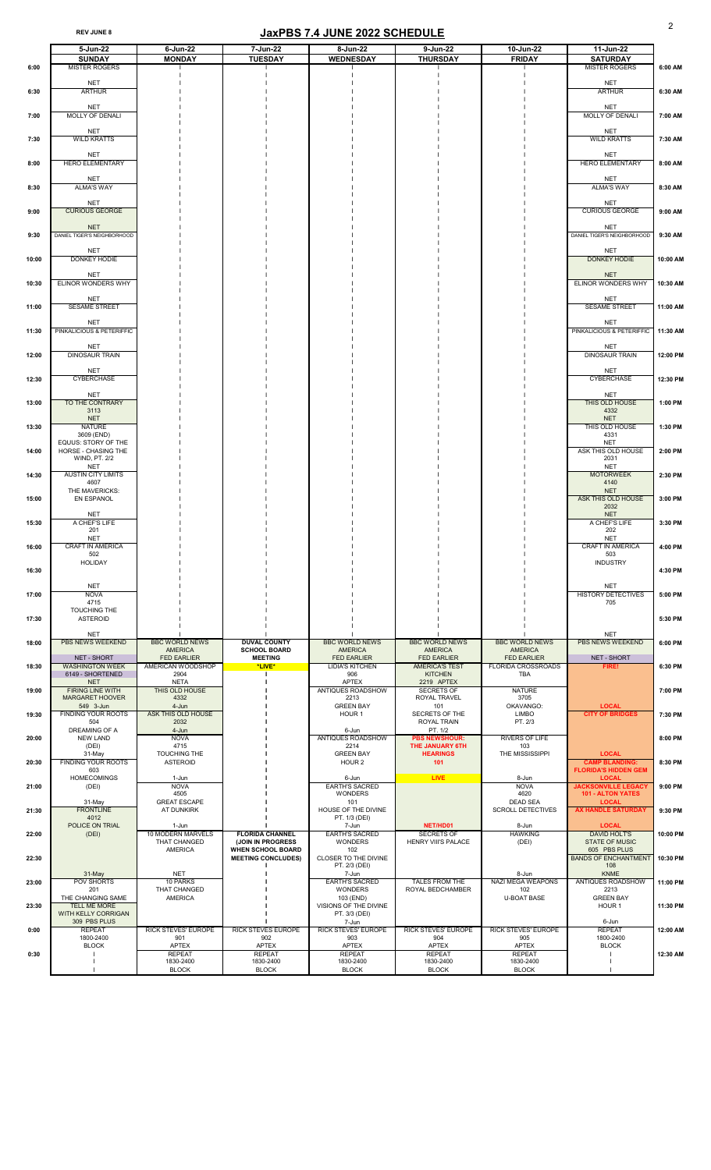# REV JUNE 8 2

|       | 5-Jun-22                                                         | $6$ -Jun-22                                                       | 7-Jun-22                                                                | 8-Jun-22                                                      | 9-Jun-22                                                          | 10-Jun-22                                                     | 11-Jun-22                                                              |          |
|-------|------------------------------------------------------------------|-------------------------------------------------------------------|-------------------------------------------------------------------------|---------------------------------------------------------------|-------------------------------------------------------------------|---------------------------------------------------------------|------------------------------------------------------------------------|----------|
| 6:00  | <b>SUNDAY</b><br><b>MISTER ROGERS</b>                            | <b>MONDAY</b>                                                     | <b>TUESDAY</b>                                                          | <b>WEDNESDAY</b>                                              | <b>THURSDAY</b>                                                   | <b>FRIDAY</b>                                                 | <b>SATURDAY</b><br><b>MISTER ROGERS</b>                                | 6:00 AM  |
| 6:30  | <b>NET</b><br><b>ARTHUR</b>                                      |                                                                   |                                                                         |                                                               |                                                                   |                                                               | <b>NET</b><br><b>ARTHUR</b>                                            | 6:30 AM  |
| 7:00  | <b>NET</b><br>MOLLY OF DENALI                                    |                                                                   |                                                                         |                                                               |                                                                   |                                                               | <b>NET</b><br>MOLLY OF DENALI                                          | 7:00 AM  |
| 7:30  | <b>NET</b><br><b>WILD KRATTS</b>                                 |                                                                   |                                                                         |                                                               |                                                                   |                                                               | <b>NET</b><br><b>WILD KRATTS</b>                                       | 7:30 AM  |
| 8:00  | <b>NET</b><br><b>HERO ELEMENTARY</b>                             |                                                                   |                                                                         |                                                               |                                                                   |                                                               | <b>NET</b><br><b>HERO ELEMENTARY</b>                                   | 8:00 AM  |
| 8:30  | <b>NET</b><br><b>ALMA'S WAY</b>                                  |                                                                   |                                                                         |                                                               |                                                                   |                                                               | <b>NET</b><br><b>ALMA'S WAY</b>                                        | 8:30 AM  |
| 9:00  | <b>NET</b><br><b>CURIOUS GEORGE</b>                              |                                                                   |                                                                         |                                                               |                                                                   |                                                               | <b>NET</b><br><b>CURIOUS GEORGE</b>                                    | 9:00 AM  |
| 9:30  | <b>NET</b><br>DANIEL TIGER'S NEIGHBORHOOD                        |                                                                   |                                                                         |                                                               |                                                                   |                                                               | <b>NET</b><br>DANIEL TIGER'S NEIGHBORHOOD                              | 9:30 AM  |
| 10:00 | <b>NET</b><br>DONKEY HODIE                                       |                                                                   |                                                                         |                                                               |                                                                   |                                                               | <b>NET</b><br><b>DONKEY HODIE</b>                                      | 10:00 AM |
| 10:30 | <b>NET</b><br><b>ELINOR WONDERS WHY</b>                          |                                                                   |                                                                         |                                                               |                                                                   |                                                               | <b>NET</b><br>ELINOR WONDERS WHY                                       | 10:30 AM |
| 11:00 | <b>NET</b><br><b>SESAME STREET</b>                               |                                                                   |                                                                         |                                                               |                                                                   |                                                               | <b>NET</b><br><b>SESAME STREET</b>                                     | 11:00 AM |
| 11:30 | <b>NET</b><br>PINKALICIOUS & PETERIFFIC                          |                                                                   |                                                                         |                                                               |                                                                   |                                                               | <b>NET</b><br>PINKALICIOUS & PETERIFFIC                                | 11:30 AM |
| 12:00 | <b>NET</b><br><b>DINOSAUR TRAIN</b>                              |                                                                   |                                                                         |                                                               |                                                                   |                                                               | <b>NET</b><br><b>DINOSAUR TRAIN</b>                                    | 12:00 PM |
| 12:30 | <b>NET</b><br><b>CYBERCHASE</b>                                  |                                                                   |                                                                         |                                                               |                                                                   |                                                               | <b>NET</b><br><b>CYBERCHASE</b>                                        | 12:30 PM |
| 13:00 | <b>NET</b><br>TO THE CONTRARY<br>3113                            |                                                                   |                                                                         |                                                               |                                                                   |                                                               | <b>NET</b><br>THIS OLD HOUSE<br>4332                                   | 1:00 PM  |
| 13:30 | <b>NET</b><br><b>NATURE</b><br>3609 (END)<br>EQUUS: STORY OF THE |                                                                   |                                                                         |                                                               |                                                                   |                                                               | <b>NET</b><br>THIS OLD HOUSE<br>4331<br><b>NET</b>                     | 1:30 PM  |
| 14:00 | HORSE - CHASING THE<br>WIND, PT. 2/2<br><b>NET</b>               |                                                                   |                                                                         |                                                               |                                                                   |                                                               | ASK THIS OLD HOUSE<br>2031<br><b>NET</b>                               | 2:00 PM  |
| 14:30 | <b>AUSTIN CITY LIMITS</b><br>4607<br>THE MAVERICKS:              |                                                                   |                                                                         |                                                               |                                                                   |                                                               | <b>MOTORWEEK</b><br>4140<br><b>NET</b>                                 | 2:30 PM  |
| 15:00 | <b>EN ESPANOL</b><br><b>NET</b>                                  |                                                                   |                                                                         |                                                               |                                                                   |                                                               | ASK THIS OLD HOUSE<br>2032<br><b>NET</b>                               | 3:00 PM  |
| 15:30 | A CHEF'S LIFE<br>201<br><b>NET</b>                               |                                                                   |                                                                         |                                                               |                                                                   |                                                               | A CHEF'S LIFE<br>202<br><b>NET</b>                                     | 3:30 PM  |
| 16:00 | <b>CRAFT IN AMERICA</b><br>502<br><b>HOLIDAY</b>                 |                                                                   |                                                                         |                                                               |                                                                   |                                                               | <b>CRAFT IN AMERICA</b><br>503<br><b>INDUSTRY</b>                      | 4:00 PM  |
| 16:30 | <b>NET</b>                                                       |                                                                   |                                                                         |                                                               |                                                                   |                                                               | <b>NET</b>                                                             | 4:30 PM  |
| 17:00 | <b>NOVA</b><br>4715<br>TOUCHING THE                              |                                                                   |                                                                         |                                                               |                                                                   |                                                               | <b>HISTORY DETECTIVES</b><br>705                                       | 5:00 PM  |
| 17:30 | <b>ASTEROID</b><br><b>NET</b>                                    |                                                                   |                                                                         |                                                               |                                                                   |                                                               | <b>NET</b>                                                             | 5:30 PM  |
| 18:00 | <b>PBS NEWS WEEKEND</b><br>NET - SHORT                           | <b>BBC WORLD NEWS</b><br><b>AMERICA</b><br><b>FED EARLIER</b>     | <b>DUVAL COUNTY</b><br><b>SCHOOL BOARD</b><br><b>MEETING</b>            | <b>BBC WORLD NEWS</b><br><b>AMERICA</b><br><b>FED EARLIER</b> | <b>BBC WORLD NEWS</b><br><b>AMERICA</b><br><b>FED EARLIER</b>     | <b>BBC WORLD NEWS</b><br><b>AMERICA</b><br><b>FED EARLIER</b> | <b>PBS NEWS WEEKEND</b><br>NET - SHORT                                 | 6:00 PM  |
| 18:30 | <b>WASHINGTON WEEK</b><br>6149 - SHORTENED<br><b>NET</b>         | AMERICAN WOODSHOP<br>2904<br><b>NETA</b>                          | *LIVE*                                                                  | <b>LIDIA'S KITCHEN</b><br>906<br><b>APTEX</b>                 | <b>AMERICA'S TEST</b><br><b>KITCHEN</b><br>2219 APTEX             | <b>FLORIDA CROSSROADS</b><br><b>TBA</b>                       | FIRE!                                                                  | 6:30 PM  |
| 19:00 | <b>FIRING LINE WITH</b><br><b>MARGARET HOOVER</b><br>549 3-Jun   | THIS OLD HOUSE<br>4332<br>4-Jun                                   |                                                                         | <b>ANTIQUES ROADSHOW</b><br>2213<br><b>GREEN BAY</b>          | <b>SECRETS OF</b><br>ROYAL TRAVEL<br>101                          | <b>NATURE</b><br>3705<br>OKAVANGO:                            | <b>LOCAL</b>                                                           | 7:00 PM  |
| 19:30 | <b>FINDING YOUR ROOTS</b><br>504<br><b>DREAMING OF A</b>         | <b>ASK THIS OLD HOUSE</b><br>2032<br>4-Jun                        |                                                                         | HOUR <sub>1</sub><br>6-Jun                                    | SECRETS OF THE<br><b>ROYAL TRAIN</b><br>PT. 1/2                   | <b>LIMBO</b><br>PT. 2/3                                       | <b>CITY OF BRIDGES</b>                                                 | 7:30 PM  |
| 20:00 | <b>NEW LAND</b><br>(DEI)<br>31-May                               | <b>NOVA</b><br>4715<br>TOUCHING THE                               |                                                                         | <b>ANTIQUES ROADSHOW</b><br>2214<br><b>GREEN BAY</b>          | <b>PBS NEWSHOUR:</b><br><b>THE JANUARY 6TH</b><br><b>HEARINGS</b> | <b>RIVERS OF LIFE</b><br>103<br>THE MISSISSIPPI               | <b>LOCAL</b>                                                           | 8:00 PM  |
| 20:30 | <b>FINDING YOUR ROOTS</b><br>603<br><b>HOMECOMINGS</b>           | <b>ASTEROID</b><br>1-Jun                                          |                                                                         | HOUR <sub>2</sub><br>6-Jun                                    | 101<br><b>LIVE</b>                                                | 8-Jun                                                         | <b>CAMP BLANDING:</b><br><b>FLORIDA'S HIDDEN GEM</b><br><b>LOCAL</b>   | 8:30 PM  |
| 21:00 | (DEI)<br>31-May                                                  | <b>NOVA</b><br>4505<br><b>GREAT ESCAPE</b>                        |                                                                         | <b>EARTH'S SACRED</b><br><b>WONDERS</b><br>101                |                                                                   | <b>NOVA</b><br>4620<br><b>DEAD SEA</b>                        | <b>JACKSONVILLE LEGACY</b><br><b>101 - ALTON YATES</b><br><b>LOCAL</b> | 9:00 PM  |
| 21:30 | <b>FRONTLINE</b><br>4012<br>POLICE ON TRIAL                      | AT DUNKIRK<br>1-Jun                                               |                                                                         | HOUSE OF THE DIVINE<br>PT. 1/3 (DEI)<br>7-Jun                 | NET/HD01                                                          | <b>SCROLL DETECTIVES</b><br>8-Jun                             | <b>AX HANDLE SATURDAY</b><br><b>LOCAL</b>                              | 9:30 PM  |
| 22:00 | (DEI)                                                            | <b>10 MODERN MARVELS</b><br><b>THAT CHANGED</b><br><b>AMERICA</b> | <b>FLORIDA CHANNEL</b><br>(JOIN IN PROGRESS<br><b>WHEN SCHOOL BOARD</b> | <b>EARTH'S SACRED</b><br><b>WONDERS</b><br>102                | <b>SECRETS OF</b><br><b>HENRY VIII'S PALACE</b>                   | <b>HAWKING</b><br>(DEI)                                       | <b>DAVID HOLT'S</b><br><b>STATE OF MUSIC</b><br>605 PBS PLUS           | 10:00 PM |
| 22:30 | 31-May                                                           | <b>NET</b>                                                        | <b>MEETING CONCLUDES)</b>                                               | CLOSER TO THE DIVINE<br>PT. 2/3 (DEI)<br>7-Jun                |                                                                   | 8-Jun                                                         | <b>BANDS OF ENCHANTMENT</b><br>108<br><b>KNME</b>                      | 10:30 PM |
| 23:00 | POV SHORTS<br>201<br>THE CHANGING SAME                           | 10 PARKS<br>THAT CHANGED<br><b>AMERICA</b>                        |                                                                         | <b>EARTH'S SACRED</b><br><b>WONDERS</b><br>103 (END)          | TALES FROM THE<br>ROYAL BEDCHAMBER                                | NAZI MEGA WEAPONS<br>102<br><b>U-BOAT BASE</b>                | ANTIQUES ROADSHOW<br>2213<br><b>GREEN BAY</b>                          | 11:00 PM |
| 23:30 | TELL ME MORE<br>WITH KELLY CORRIGAN<br>309 PBS PLUS              |                                                                   |                                                                         | VISIONS OF THE DIVINE<br>PT. 3/3 (DEI)<br>7-Jun               |                                                                   |                                                               | HOUR <sub>1</sub><br>6-Jun                                             | 11:30 PM |
| 0:00  | <b>REPEAT</b><br>1800-2400<br><b>BLOCK</b>                       | <b>RICK STEVES' EUROPE</b><br>901<br><b>APTEX</b>                 | <b>RICK STEVES EUROPE</b><br>902<br><b>APTEX</b>                        | <b>RICK STEVES' EUROPE</b><br>903<br><b>APTEX</b>             | <b>RICK STEVES' EUROPE</b><br>904<br><b>APTEX</b>                 | <b>RICK STEVES' EUROPE</b><br>905<br><b>APTEX</b>             | <b>REPEAT</b><br>1800-2400<br><b>BLOCK</b>                             | 12:00 AM |
| 0:30  |                                                                  | <b>REPEAT</b><br>1830-2400<br><b>BLOCK</b>                        | <b>REPEAT</b><br>1830-2400<br><b>BLOCK</b>                              | <b>REPEAT</b><br>1830-2400<br><b>BLOCK</b>                    | <b>REPEAT</b><br>1830-2400<br><b>BLOCK</b>                        | <b>REPEAT</b><br>1830-2400<br><b>BLOCK</b>                    |                                                                        | 12:30 AM |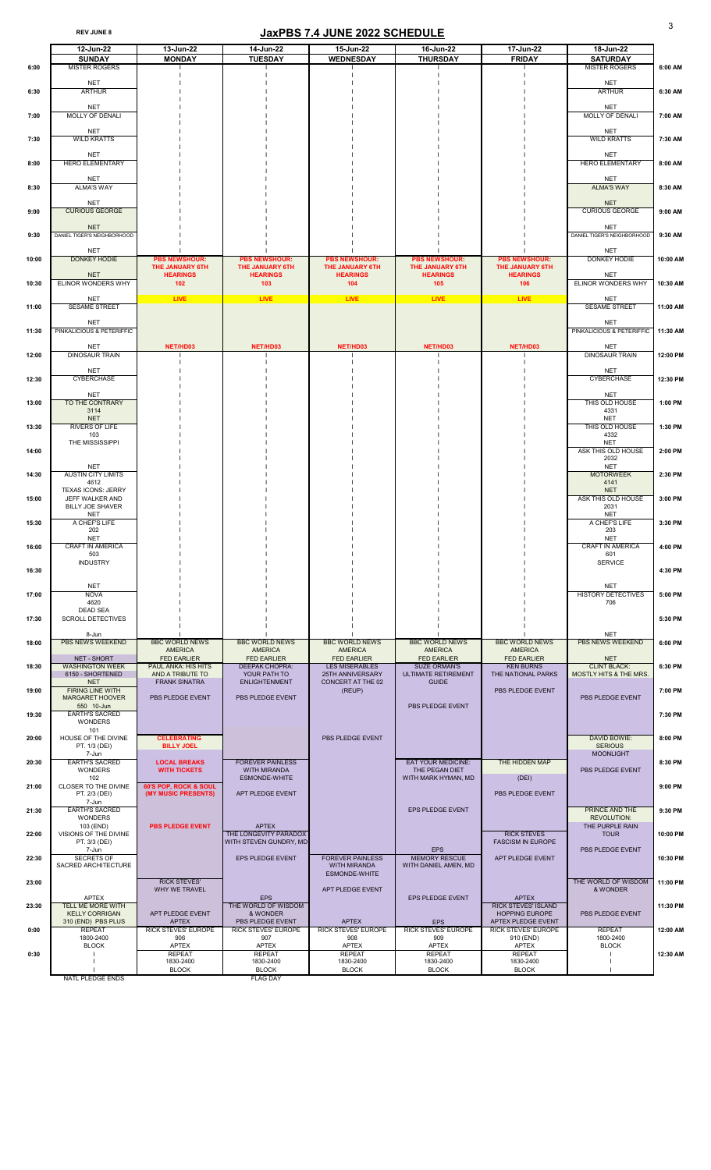## REV JUNE 8 **JaxPBS 7.4 JUNE 2022 SCHEDULE**

|                | 12-Jun-22                                                          | 13-Jun-22                                      | 14-Jun-22                                                       | 15-Jun-22                                                       | 16-Jun-22                                                          | 17-Jun-22                                                                 | 18-Jun-22                                               |                    |
|----------------|--------------------------------------------------------------------|------------------------------------------------|-----------------------------------------------------------------|-----------------------------------------------------------------|--------------------------------------------------------------------|---------------------------------------------------------------------------|---------------------------------------------------------|--------------------|
| 6:00           | <b>SUNDAY</b><br><b>MISTER ROGERS</b>                              | <b>MONDAY</b>                                  | <b>TUESDAY</b>                                                  | <b>WEDNESDAY</b>                                                | <b>THURSDAY</b>                                                    | <b>FRIDAY</b>                                                             | <b>SATURDAY</b><br><b>MISTER ROGERS</b>                 | 6:00 AM            |
| 6:30           | <b>NET</b><br><b>ARTHUR</b>                                        |                                                |                                                                 |                                                                 |                                                                    |                                                                           | <b>NET</b><br><b>ARTHUR</b>                             | 6:30 AM            |
| 7:00           | <b>NET</b><br><b>MOLLY OF DENALI</b>                               |                                                |                                                                 |                                                                 |                                                                    |                                                                           | <b>NET</b><br><b>MOLLY OF DENALI</b>                    | 7:00 AM            |
| 7:30           | <b>NET</b><br><b>WILD KRATTS</b>                                   |                                                |                                                                 |                                                                 |                                                                    |                                                                           | <b>NET</b><br><b>WILD KRATTS</b>                        | 7:30 AM            |
| 8:00           | <b>NET</b><br><b>HERO ELEMENTARY</b>                               |                                                |                                                                 |                                                                 |                                                                    |                                                                           | <b>NET</b><br><b>HERO ELEMENTARY</b>                    | 8:00 AM            |
| 8:30           | <b>NET</b><br><b>ALMA'S WAY</b>                                    |                                                |                                                                 |                                                                 |                                                                    |                                                                           | <b>NET</b><br><b>ALMA'S WAY</b>                         | 8:30 AM            |
| 9:00           | <b>NET</b><br><b>CURIOUS GEORGE</b>                                |                                                |                                                                 |                                                                 |                                                                    |                                                                           | <b>NET</b><br><b>CURIOUS GEORGE</b>                     | 9:00 AM            |
| 9:30           | <b>NET</b><br>DANIEL TIGER'S NEIGHBORHOOD                          |                                                |                                                                 |                                                                 |                                                                    |                                                                           | <b>NET</b><br>DANIEL TIGER'S NEIGHBORHOOD               | 9:30 AM            |
| 10:00          | <b>NET</b><br><b>DONKEY HODIE</b>                                  | <b>PBS NEWSHOUR:</b><br><b>THE JANUARY 6TH</b> | <b>PBS NEWSHOUR:</b><br><b>THE JANUARY 6TH</b>                  | <b>PBS NEWSHOUR:</b><br><b>THE JANUARY 6TH</b>                  | <b>PBS NEWSHOUR:</b><br><b>THE JANUARY 6TH</b>                     | <b>PBS NEWSHOUR:</b><br><b>THE JANUARY 6TH</b>                            | <b>NET</b><br><b>DONKEY HODIE</b>                       | 10:00 AM           |
| 10:30          | <b>NET</b><br>ELINOR WONDERS WHY                                   | <b>HEARINGS</b><br>102                         | <b>HEARINGS</b><br>103                                          | <b>HEARINGS</b><br>104                                          | <b>HEARINGS</b><br>105                                             | <b>HEARINGS</b><br>106                                                    | <b>NET</b><br>ELINOR WONDERS WHY                        | 10:30 AM           |
| 11:00          | <b>NET</b><br><b>SESAME STREET</b>                                 | <b>LIVE</b>                                    | <b>LIVE</b>                                                     | <b>LIVE</b>                                                     | <b>LIVE</b>                                                        | <b>LIVE</b>                                                               | <b>NET</b><br><b>SESAME STREET</b>                      | 11:00 AM           |
| 11:30          | <b>NET</b><br>PINKALICIOUS & PETERIFFIC                            |                                                |                                                                 |                                                                 |                                                                    |                                                                           | <b>NET</b><br>PINKALICIOUS & PETERIFFIC                 | 11:30 AM           |
| 12:00          | <b>NET</b><br><b>DINOSAUR TRAIN</b>                                | NET/HD03                                       | NET/HD03                                                        | NET/HD03                                                        | NET/HD03                                                           | NET/HD03                                                                  | <b>NET</b><br><b>DINOSAUR TRAIN</b>                     | 12:00 PM           |
| 12:30          | <b>NET</b><br><b>CYBERCHASE</b>                                    |                                                |                                                                 |                                                                 |                                                                    |                                                                           | <b>NET</b><br>CYBERCHASE                                | 12:30 PM           |
| 13:00          | <b>NET</b><br><b>TO THE CONTRARY</b><br>3114<br><b>NET</b>         |                                                |                                                                 |                                                                 |                                                                    |                                                                           | <b>NET</b><br>THIS OLD HOUSE<br>4331<br><b>NET</b>      | 1:00 PM            |
| 13:30          | RIVERS OF LIFE<br>103<br>THE MISSISSIPPI                           |                                                |                                                                 |                                                                 |                                                                    |                                                                           | THIS OLD HOUSE<br>4332<br><b>NET</b>                    | 1:30 PM            |
| 14:00          | <b>NET</b>                                                         |                                                |                                                                 |                                                                 |                                                                    |                                                                           | ASK THIS OLD HOUSE<br>2032<br><b>NET</b>                | 2:00 PM            |
| 14:30          | <b>AUSTIN CITY LIMITS</b><br>4612<br><b>TEXAS ICONS: JERRY</b>     |                                                |                                                                 |                                                                 |                                                                    |                                                                           | <b>MOTORWEEK</b><br>4141<br><b>NET</b>                  | 2:30 PM            |
| 15:00          | JEFF WALKER AND<br><b>BILLY JOE SHAVER</b><br><b>NET</b>           |                                                |                                                                 |                                                                 |                                                                    |                                                                           | ASK THIS OLD HOUSE<br>2031<br><b>NET</b>                | 3:00 PM            |
| 15:30          | A CHEF'S LIFE<br>202<br><b>NET</b>                                 |                                                |                                                                 |                                                                 |                                                                    |                                                                           | A CHEF'S LIFE<br>203<br><b>NET</b>                      | 3:30 PM            |
| 16:00          | <b>CRAFT IN AMERICA</b><br>503<br><b>INDUSTRY</b>                  |                                                |                                                                 |                                                                 |                                                                    |                                                                           | <b>CRAFT IN AMERICA</b><br>601<br><b>SERVICE</b>        | 4:00 PM            |
| 16:30          | <b>NET</b>                                                         |                                                |                                                                 |                                                                 |                                                                    |                                                                           | <b>NET</b><br><b>HISTORY DETECTIVES</b>                 | 4:30 PM            |
| 17:00<br>17:30 | <b>NOVA</b><br>4620<br><b>DEAD SEA</b><br><b>SCROLL DETECTIVES</b> |                                                |                                                                 |                                                                 |                                                                    |                                                                           | 706                                                     | 5:00 PM<br>5:30 PM |
| 18:00          | 8-Jun<br><b>PBS NEWS WEEKEND</b>                                   | <b>BBC WORLD NEWS</b>                          | <b>BBC WORLD NEWS</b>                                           | <b>BBC WORLD NEWS</b>                                           | <b>BBC WORLD NEWS</b>                                              | <b>BBC WORLD NEWS</b>                                                     | <b>NET</b><br><b>PBS NEWS WEEKEND</b>                   | 6:00 PM            |
|                | <b>NET - SHORT</b>                                                 | <b>AMERICA</b><br><b>FED EARLIER</b>           | <b>AMERICA</b><br><b>FED EARLIER</b>                            | <b>AMERICA</b><br><b>FED EARLIER</b>                            | <b>AMERICA</b><br><b>FED EARLIER</b>                               | <b>AMERICA</b><br><b>FED EARLIER</b>                                      | <b>NET</b>                                              |                    |
| 18:30          | <b>WASHINGTON WEEK</b><br>6150 - SHORTENED                         | <b>PAUL ANKA: HIS HITS</b><br>AND A TRIBUTE TO | <b>DEEPAK CHOPRA:</b><br>YOUR PATH TO                           | LES MISERABLES<br>25TH ANNIVERSARY                              | <b>SUZE ORMAN'S</b><br><b>ULTIMATE RETIREMENT</b>                  | <b>KEN BURNS</b><br>THE NATIONAL PARKS                                    | <b>CLINT BLACK:</b><br>MOSTLY HITS & THE MRS.           | 6:30 PM            |
| 19:00          | <b>NET</b><br><b>FIRING LINE WITH</b><br><b>MARGARET HOOVER</b>    | <b>FRANK SINATRA</b><br>PBS PLEDGE EVENT       | <b>ENLIGHTENMENT</b><br>PBS PLEDGE EVENT                        | <b>CONCERT AT THE 02</b><br>(REUP)                              | <b>GUIDE</b>                                                       | PBS PLEDGE EVENT                                                          | PBS PLEDGE EVENT                                        | 7:00 PM            |
| 19:30          | 550 10-Jun<br><b>EARTH'S SACRED</b><br><b>WONDERS</b>              |                                                |                                                                 |                                                                 | PBS PLEDGE EVENT                                                   |                                                                           |                                                         | 7:30 PM            |
| 20:00          | 101<br>HOUSE OF THE DIVINE<br>PT. 1/3 (DEI)                        | <b>CELEBRATING</b><br><b>BILLY JOEL</b>        |                                                                 | PBS PLEDGE EVENT                                                |                                                                    |                                                                           | DAVID BOWIE:<br><b>SERIOUS</b>                          | 8:00 PM            |
| 20:30          | 7-Jun<br><b>EARTH'S SACRED</b><br><b>WONDERS</b><br>102            | <b>LOCAL BREAKS</b><br><b>WITH TICKETS</b>     | <b>FOREVER PAINLESS</b><br><b>WITH MIRANDA</b><br>ESMONDE-WHITE |                                                                 | <b>EAT YOUR MEDICINE:</b><br>THE PEGAN DIET<br>WITH MARK HYMAN, MD | THE HIDDEN MAP<br>(DEI)                                                   | <b>MOONLIGHT</b><br>PBS PLEDGE EVENT                    | 8:30 PM            |
| 21:00          | CLOSER TO THE DIVINE<br>PT. 2/3 (DEI)<br>7-Jun                     | 60'S POP, ROCK & SOUL<br>(MY MUSIC PRESENTS)   | APT PLEDGE EVENT                                                |                                                                 |                                                                    | PBS PLEDGE EVENT                                                          |                                                         | 9:00 PM            |
| 21:30          | <b>EARTH'S SACRED</b><br><b>WONDERS</b><br>103 (END)               | <b>PBS PLEDGE EVENT</b>                        | <b>APTEX</b>                                                    |                                                                 | EPS PLEDGE EVENT                                                   |                                                                           | <b>PRINCE AND THE</b><br>REVOLUTION:<br>THE PURPLE RAIN | 9:30 PM            |
| 22:00          | VISIONS OF THE DIVINE<br>PT. 3/3 (DEI)<br>7-Jun                    |                                                | THE LONGEVITY PARADOX<br>WITH STEVEN GUNDRY, MD                 |                                                                 | <b>EPS</b>                                                         | <b>RICK STEVES</b><br><b>FASCISM IN EUROPE</b>                            | <b>TOUR</b><br>PBS PLEDGE EVENT                         | 10:00 PM           |
| 22:30          | <b>SECRETS OF</b><br><b>SACRED ARCHITECTURE</b>                    |                                                | EPS PLEDGE EVENT                                                | <b>FOREVER PAINLESS</b><br><b>WITH MIRANDA</b><br>ESMONDE-WHITE | <b>MEMORY RESCUE</b><br>WITH DANIEL AMEN, MD                       | APT PLEDGE EVENT                                                          |                                                         | 10:30 PM           |
| 23:00          | <b>APTEX</b>                                                       | <b>RICK STEVES'</b><br>WHY WE TRAVEL           | EPS                                                             | APT PLEDGE EVENT                                                | EPS PLEDGE EVENT                                                   | <b>APTEX</b>                                                              | THE WORLD OF WISDOM<br>& WONDER                         | 11:00 PM           |
| 23:30          | TELL ME MORE WITH<br><b>KELLY CORRIGAN</b><br>310 (END) PBS PLUS   | APT PLEDGE EVENT<br><b>APTEX</b>               | THE WORLD OF WISDOM<br>& WONDER<br>PBS PLEDGE EVENT             | <b>APTEX</b>                                                    | <b>EPS</b>                                                         | <b>RICK STEVES' ISLAND</b><br><b>HOPPING EUROPE</b><br>APTEX PLEDGE EVENT | PBS PLEDGE EVENT                                        | 11:30 PM           |
| 0:00           | <b>REPEAT</b><br>1800-2400                                         | <b>RICK STEVES' EUROPE</b><br>906              | <b>RICK STEVES' EUROPE</b><br>907                               | <b>RICK STEVES' EUROPE</b><br>908                               | <b>RICK STEVES' EUROPE</b><br>909                                  | <b>RICK STEVES' EUROPE</b><br>910 (END)                                   | <b>REPEAT</b><br>1800-2400                              | 12:00 AM           |
| 0:30           | <b>BLOCK</b>                                                       | <b>APTEX</b><br><b>REPEAT</b>                  | <b>APTEX</b><br><b>REPEAT</b>                                   | <b>APTEX</b><br><b>REPEAT</b>                                   | <b>APTEX</b><br><b>REPEAT</b>                                      | <b>APTEX</b><br><b>REPEAT</b>                                             | <b>BLOCK</b>                                            | 12:30 AM           |
|                | <b>NATL PLEDGE ENDS</b>                                            | 1830-2400<br><b>BLOCK</b>                      | 1830-2400<br><b>BLOCK</b>                                       | 1830-2400<br><b>BLOCK</b>                                       | 1830-2400<br><b>BLOCK</b>                                          | 1830-2400<br><b>BLOCK</b>                                                 |                                                         |                    |
|                |                                                                    |                                                | <b>FLAG DAY</b>                                                 |                                                                 |                                                                    |                                                                           |                                                         |                    |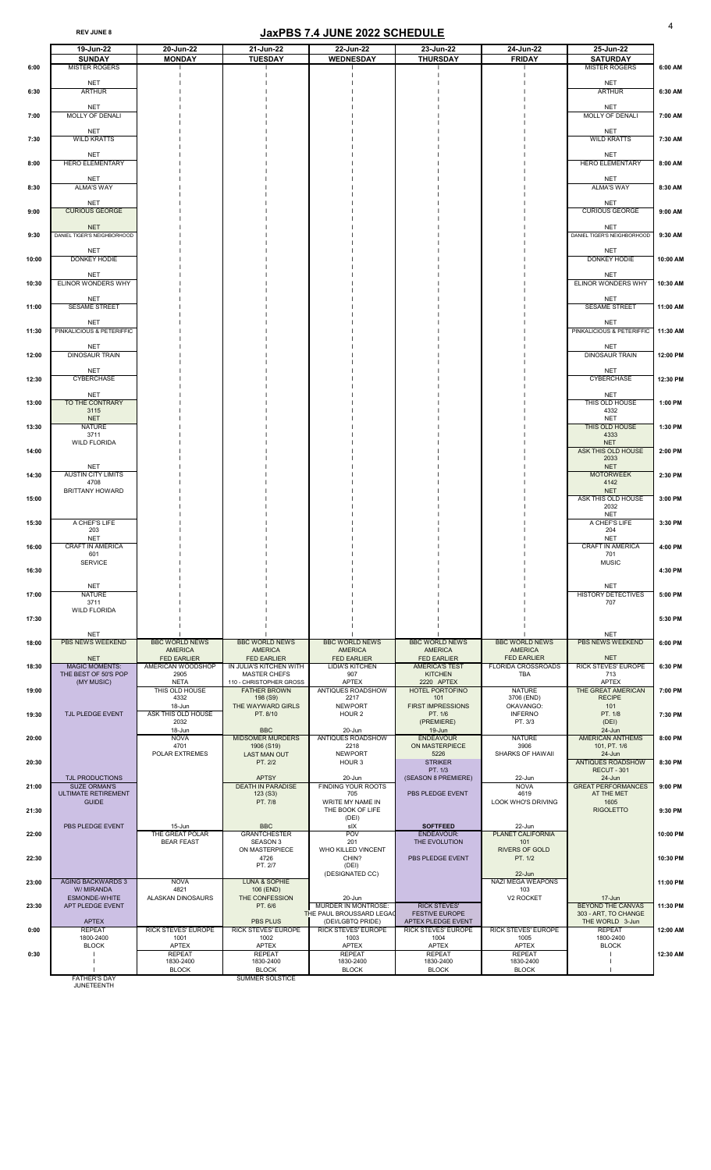#### REV JUNE 8 4

|       | 19-Jun-22                                         | 20-Jun-22                               | 21-Jun-22                                      | 22-Jun-22                                       | 23-Jun-22                                        | 24-Jun-22                               | 25-Jun-22                                      |          |
|-------|---------------------------------------------------|-----------------------------------------|------------------------------------------------|-------------------------------------------------|--------------------------------------------------|-----------------------------------------|------------------------------------------------|----------|
|       | <b>SUNDAY</b>                                     | <b>MONDAY</b>                           | <b>TUESDAY</b>                                 | <b>WEDNESDAY</b>                                | <b>THURSDAY</b>                                  | <b>FRIDAY</b>                           | <b>SATURDAY</b>                                |          |
| 6:00  | <b>MISTER ROGERS</b>                              |                                         |                                                |                                                 |                                                  |                                         | <b>MISTER ROGERS</b>                           | 6:00 AM  |
|       | <b>NET</b>                                        |                                         |                                                |                                                 |                                                  |                                         | <b>NET</b>                                     |          |
| 6:30  | <b>ARTHUR</b>                                     |                                         |                                                |                                                 |                                                  |                                         | <b>ARTHUR</b>                                  | 6:30 AM  |
|       | <b>NET</b>                                        |                                         |                                                |                                                 |                                                  |                                         | <b>NET</b>                                     |          |
| 7:00  | <b>MOLLY OF DENALI</b>                            |                                         |                                                |                                                 |                                                  |                                         | <b>MOLLY OF DENALI</b>                         | 7:00 AM  |
|       | <b>NET</b>                                        |                                         |                                                |                                                 |                                                  |                                         | <b>NET</b>                                     |          |
| 7:30  | <b>WILD KRATTS</b>                                |                                         |                                                |                                                 |                                                  |                                         | <b>WILD KRATTS</b>                             | 7:30 AM  |
|       | <b>NET</b>                                        |                                         |                                                |                                                 |                                                  |                                         | <b>NET</b>                                     |          |
| 8:00  | <b>HERO ELEMENTARY</b>                            |                                         |                                                |                                                 |                                                  |                                         | <b>HERO ELEMENTARY</b>                         | 8:00 AM  |
|       | <b>NET</b>                                        |                                         |                                                |                                                 |                                                  |                                         | <b>NET</b>                                     |          |
| 8:30  | <b>ALMA'S WAY</b>                                 |                                         |                                                |                                                 |                                                  |                                         | <b>ALMA'S WAY</b>                              | 8:30 AM  |
|       | <b>NET</b><br><b>CURIOUS GEORGE</b>               |                                         |                                                |                                                 |                                                  |                                         | <b>NET</b><br><b>CURIOUS GEORGE</b>            |          |
| 9:00  |                                                   |                                         |                                                |                                                 |                                                  |                                         |                                                | 9:00 AM  |
| 9:30  | <b>NET</b><br>DANIEL TIGER'S NEIGHBORHOOD         |                                         |                                                |                                                 |                                                  |                                         | <b>NET</b><br>DANIEL TIGER'S NEIGHBORHOOD      | 9:30 AM  |
|       |                                                   |                                         |                                                |                                                 |                                                  |                                         |                                                |          |
| 10:00 | <b>NET</b><br>DONKEY HODIE                        |                                         |                                                |                                                 |                                                  |                                         | <b>NET</b><br>DONKEY HODIE                     | 10:00 AM |
|       |                                                   |                                         |                                                |                                                 |                                                  |                                         |                                                |          |
| 10:30 | <b>NET</b><br>ELINOR WONDERS WHY                  |                                         |                                                |                                                 |                                                  |                                         | <b>NET</b><br>ELINOR WONDERS WHY               | 10:30 AM |
|       |                                                   |                                         |                                                |                                                 |                                                  |                                         |                                                |          |
| 11:00 | <b>NET</b><br><b>SESAME STREET</b>                |                                         |                                                |                                                 |                                                  |                                         | <b>NET</b><br><b>SESAME STREET</b>             | 11:00 AM |
|       |                                                   |                                         |                                                |                                                 |                                                  |                                         |                                                |          |
| 11:30 | <b>NET</b><br>PINKALICIOUS & PETERIFFIC           |                                         |                                                |                                                 |                                                  |                                         | <b>NET</b><br>PINKALICIOUS & PETERIFFIC        | 11:30 AM |
|       |                                                   |                                         |                                                |                                                 |                                                  |                                         |                                                |          |
| 12:00 | <b>NET</b><br><b>DINOSAUR TRAIN</b>               |                                         |                                                |                                                 |                                                  |                                         | <b>NET</b><br><b>DINOSAUR TRAIN</b>            | 12:00 PM |
|       |                                                   |                                         |                                                |                                                 |                                                  |                                         |                                                |          |
| 12:30 | <b>NET</b><br><b>CYBERCHASE</b>                   |                                         |                                                |                                                 |                                                  |                                         | <b>NET</b><br>CYBERCHASE                       | 12:30 PM |
|       |                                                   |                                         |                                                |                                                 |                                                  |                                         |                                                |          |
| 13:00 | <b>NET</b><br>TO THE CONTRARY                     |                                         |                                                |                                                 |                                                  |                                         | <b>NET</b><br>THIS OLD HOUSE                   | 1:00 PM  |
|       | 3115<br><b>NET</b>                                |                                         |                                                |                                                 |                                                  |                                         | 4332<br><b>NET</b>                             |          |
| 13:30 | <b>NATURE</b>                                     |                                         |                                                |                                                 |                                                  |                                         | THIS OLD HOUSE                                 | 1:30 PM  |
|       | 3711<br><b>WILD FLORIDA</b>                       |                                         |                                                |                                                 |                                                  |                                         | 4333<br><b>NET</b>                             |          |
| 14:00 |                                                   |                                         |                                                |                                                 |                                                  |                                         | ASK THIS OLD HOUSE                             | 2:00 PM  |
|       | <b>NET</b>                                        |                                         |                                                |                                                 |                                                  |                                         | 2033<br><b>NET</b>                             |          |
| 14:30 | <b>AUSTIN CITY LIMITS</b>                         |                                         |                                                |                                                 |                                                  |                                         | <b>MOTORWEEK</b>                               | 2:30 PM  |
|       | 4708<br><b>BRITTANY HOWARD</b>                    |                                         |                                                |                                                 |                                                  |                                         | 4142<br><b>NET</b>                             |          |
| 15:00 |                                                   |                                         |                                                |                                                 |                                                  |                                         | ASK THIS OLD HOUSE                             | 3:00 PM  |
|       |                                                   |                                         |                                                |                                                 |                                                  |                                         | 2032<br><b>NET</b>                             |          |
| 15:30 | A CHEF'S LIFE                                     |                                         |                                                |                                                 |                                                  |                                         | A CHEF'S LIFE                                  | 3:30 PM  |
|       | 203<br><b>NET</b>                                 |                                         |                                                |                                                 |                                                  |                                         | 204<br><b>NET</b>                              |          |
| 16:00 | <b>CRAFT IN AMERICA</b>                           |                                         |                                                |                                                 |                                                  |                                         | <b>CRAFT IN AMERICA</b>                        | 4:00 PM  |
|       | 601<br><b>SERVICE</b>                             |                                         |                                                |                                                 |                                                  |                                         | 701<br><b>MUSIC</b>                            |          |
| 16:30 |                                                   |                                         |                                                |                                                 |                                                  |                                         |                                                | 4:30 PM  |
|       | <b>NET</b>                                        |                                         |                                                |                                                 |                                                  |                                         | <b>NET</b>                                     |          |
| 17:00 | <b>NATURE</b>                                     |                                         |                                                |                                                 |                                                  |                                         | <b>HISTORY DETECTIVES</b>                      | 5:00 PM  |
|       | 3711<br><b>WILD FLORIDA</b>                       |                                         |                                                |                                                 |                                                  |                                         | 707                                            |          |
| 17:30 |                                                   |                                         |                                                |                                                 |                                                  |                                         |                                                | 5:30 PM  |
|       | <b>NET</b>                                        |                                         |                                                |                                                 |                                                  |                                         | <b>NET</b>                                     |          |
| 18:00 | <b>PBS NEWS WEEKEND</b>                           | <b>BBC WORLD NEWS</b><br><b>AMERICA</b> | <b>BBC WORLD NEWS</b><br><b>AMERICA</b>        | <b>BBC WORLD NEWS</b><br><b>AMERICA</b>         | <b>BBC WORLD NEWS</b><br><b>AMERICA</b>          | <b>BBC WORLD NEWS</b><br><b>AMERICA</b> | <b>PBS NEWS WEEKEND</b>                        | 6:00 PM  |
|       | <b>NET</b>                                        | <b>FED EARLIER</b>                      | <b>FED EARLIER</b>                             | <b>FED EARLIER</b>                              | <b>FED EARLIER</b>                               | <b>FED EARLIER</b>                      | <b>NET</b>                                     |          |
| 18:30 | <b>MAGIC MOMENTS:</b><br>THE BEST OF 50'S POP     | AMERICAN WOODSHOP<br>2905               | IN JULIA'S KITCHEN WITH<br><b>MASTER CHEFS</b> | <b>LIDIA'S KITCHEN</b><br>907                   | <b>AMERICA'S TEST</b><br><b>KITCHEN</b>          | <b>FLORIDA CROSSROADS</b><br><b>TBA</b> | <b>RICK STEVES' EUROPE</b><br>713              | 6:30 PM  |
|       | (MY MUSIC)                                        | <b>NETA</b>                             | 110 - CHRISTOPHER GROSS                        | <b>APTEX</b>                                    | 2220 APTEX                                       |                                         | <b>APTEX</b>                                   |          |
| 19:00 |                                                   | THIS OLD HOUSE<br>4332                  | <b>FATHER BROWN</b><br>198 (S9)                | <b>ANTIQUES ROADSHOW</b><br>2217                | <b>HOTEL PORTOFINO</b><br>101                    | <b>NATURE</b><br>3706 (END)             | <b>THE GREAT AMERICAN</b><br><b>RECIPE</b>     | 7:00 PM  |
|       |                                                   | 18-Jun                                  | THE WAYWARD GIRLS                              | <b>NEWPORT</b>                                  | <b>FIRST IMPRESSIONS</b>                         | OKAVANGO:                               | 101                                            |          |
| 19:30 | TJL PLEDGE EVENT                                  | ASK THIS OLD HOUSE<br>2032              | PT. 8/10                                       | HOUR <sub>2</sub>                               | PT. 1/6<br>(PREMIERE)                            | <b>INFERNO</b><br>PT. 3/3               | PT. 1/8<br>(DEI)                               | 7:30 PM  |
|       |                                                   | 18-Jun                                  | <b>BBC</b>                                     | 20-Jun                                          | 19-Jun                                           |                                         | 24-Jun                                         |          |
| 20:00 |                                                   | <b>NOVA</b><br>4701                     | <b>MIDSOMER MURDERS</b><br>1906 (S19)          | ANTIQUES ROADSHOW<br>2218                       | <b>ENDEAVOUR</b><br>ON MASTERPIECE               | <b>NATURE</b><br>3906                   | <b>AMERICAN ANTHEMS</b><br>101, PT. 1/6        | 8:00 PM  |
|       |                                                   | POLAR EXTREMES                          | <b>LAST MAN OUT</b>                            | <b>NEWPORT</b>                                  | 5226                                             | <b>SHARKS OF HAWAII</b>                 | $24$ -Jun                                      |          |
| 20:30 |                                                   |                                         | PT. 2/2                                        | HOUR 3                                          | <b>STRIKER</b><br>PT. 1/3                        |                                         | <b>ANTIQUES ROADSHOW</b><br><b>RECUT - 301</b> | 8:30 PM  |
|       | TJL PRODUCTIONS                                   |                                         | <b>APTSY</b>                                   | 20-Jun                                          | (SEASON 8 PREMIERE)                              | 22-Jun                                  | $24$ -Jun                                      |          |
| 21:00 | <b>SUZE ORMAN'S</b><br><b>ULTIMATE RETIREMENT</b> |                                         | <b>DEATH IN PARADISE</b><br>123( S3)           | <b>FINDING YOUR ROOTS</b><br>705                | PBS PLEDGE EVENT                                 | <b>NOVA</b><br>4619                     | <b>GREAT PERFORMANCES</b><br>AT THE MET        | 9:00 PM  |
|       | <b>GUIDE</b>                                      |                                         | PT. 7/8                                        | WRITE MY NAME IN                                |                                                  | LOOK WHO'S DRIVING                      | 1605                                           |          |
| 21:30 |                                                   |                                         |                                                | THE BOOK OF LIFE<br>(DEI)                       |                                                  |                                         | <b>RIGOLETTO</b>                               | 9:30 PM  |
|       | PBS PLEDGE EVENT                                  | 15-Jun                                  | <b>BBC</b>                                     | sIX                                             | <b>SOFTFEED</b>                                  | 22-Jun                                  |                                                |          |
| 22:00 |                                                   | THE GREAT POLAR<br><b>BEAR FEAST</b>    | <b>GRANTCHESTER</b><br><b>SEASON 3</b>         | <b>POV</b><br>201                               | <b>ENDEAVOUR:</b><br>THE EVOLUTION               | <b>PLANET CALIFORNIA</b><br>101         |                                                | 10:00 PM |
|       |                                                   |                                         | ON MASTERPIECE                                 | <b>WHO KILLED VINCENT</b>                       |                                                  | <b>RIVERS OF GOLD</b>                   |                                                |          |
| 22:30 |                                                   |                                         | 4726<br>PT. 2/7                                | CHIN?<br>(DEI)                                  | PBS PLEDGE EVENT                                 | PT. 1/2                                 |                                                | 10:30 PM |
|       |                                                   |                                         |                                                | (DESIGNATED CC)                                 |                                                  | 22-Jun                                  |                                                |          |
| 23:00 | <b>AGING BACKWARDS 3</b><br>W/MIRANDA             | <b>NOVA</b><br>4821                     | LUNA & SOPHIE<br>106 (END)                     |                                                 |                                                  | NAZI MEGA WEAPONS<br>103                |                                                | 11:00 PM |
| 23:30 | <b>ESMONDE-WHITE</b><br>APT PLEDGE EVENT          | ALASKAN DINOSAURS                       | THE CONFESSION<br>PT. 6/6                      | 20-Jun<br>MURDER IN MONTROSE:                   | <b>RICK STEVES'</b>                              | V <sub>2</sub> ROCKET                   | 17-Jun<br><b>BEYOND THE CANVAS</b>             | 11:30 PM |
|       |                                                   |                                         |                                                | <b>THE PAUL BROUSSARD LEGAC</b>                 | <b>FESTIVE EUROPE</b>                            |                                         | 303 - ART, TO CHANGE                           |          |
| 0:00  | <b>APTEX</b><br><b>REPEAT</b>                     | <b>RICK STEVES' EUROPE</b>              | <b>PBS PLUS</b><br><b>RICK STEVES' EUROPE</b>  | (DEI/LGBTQ PRIDE)<br><b>RICK STEVES' EUROPE</b> | APTEX PLEDGE EVENT<br><b>RICK STEVES' EUROPE</b> | <b>RICK STEVES' EUROPE</b>              | THE WORLD 3-Jun<br><b>REPEAT</b>               | 12:00 AM |
|       | 1800-2400                                         | 1001                                    | 1002                                           | 1003                                            | 1004                                             | 1005                                    | 1800-2400                                      |          |
| 0:30  | <b>BLOCK</b>                                      | <b>APTEX</b><br><b>REPEAT</b>           | <b>APTEX</b><br><b>REPEAT</b>                  | <b>APTEX</b><br><b>REPEAT</b>                   | <b>APTEX</b><br><b>REPEAT</b>                    | <b>APTEX</b><br><b>REPEAT</b>           | <b>BLOCK</b>                                   | 12:30 AM |
|       |                                                   | 1830-2400                               | 1830-2400                                      | 1830-2400                                       | 1830-2400                                        | 1830-2400                               |                                                |          |
|       | <b>EATHED'S DAV</b>                               | <b>BLOCK</b>                            | <b>BLOCK</b><br>CLIMINED COLOTICE              | <b>BLOCK</b>                                    | <b>BLOCK</b>                                     | <b>BLOCK</b>                            |                                                |          |

FATHER'S DAY<br>JUNETEENTH

SUMMER SOLSTICE